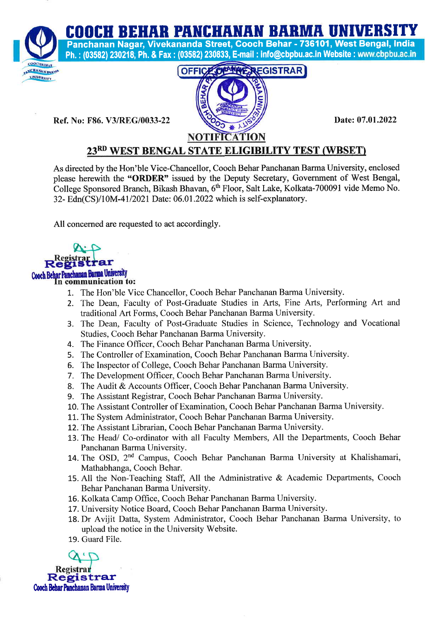COOCH BEHAR PANCHANAN BARMA UNIVERSITY



Panchanan Nagar, Vivekananda Street, Cooch Behar - 736101, West Bengal, lndia Ph. : (03582) 230218; Ph. & Fax : (03582) 230833, E-mail : info@cbpbu.ac.in Website : www.cbpbu.ac.in

Ref. No: F86. V3/REG/0033-22 Date: 07.01.2022



## 23RD WEST BENGAL STATE ELIGIBILITY TEST (WBSET)

As directed by the Hon'ble Vice-Chancellor, Cooch Behar Panchanan Barma University, enclosed please herewith the "ORDER" issued by the Deputy Secretary, Government of West Bengal, College Sponsored Branch, Bikash Bhavan, 6<sup>th</sup> Floor, Salt Lake, Kolkata-700091 vide Memo No. 32- Edn(CS)/10M-41/2021 Date: 06.01.2022 which is self-explanatory.

All concerned are requested to act accordingly.



- 1. The Hon'ble Vice Chancellor, Cooch Behar Panchanan Barma University.
- 2. The Dean, Faculty of Post-Graduate Studies in Arts, Fine Arts, Performing Art and traditional Art Forms, Cooch Behar Panchanan Barma University.
- 3. The Dean, Faculty of Post-Graduate Studies in Science, Technology and Vocational Studies, Cooch Behar Panchanan Barma University.
- 4. The Finance Officer, Cooch Behar Panchanan Barma University.
- 5. The Controller of Examination, Cooch Behar Panchanan Barma University.
- 5. The Inspector of College, Cooch Behar Panchanan Barma University.
- 7. The Development Officer, Cooch Behar Panchanan Barma University.
- 8. The Audit & Accounts Officer, Cooch Behar Panchanan Barma University.
- 9. The Assistant Registrar, Cooch Behar Panchanan Barma University.
- 10. The Assistant Controller of Examination, Cooch Behar Panchanan Barma University.
- 11. The System Administrator, Cooch Behar Panchanan Barma University.
- 12. The Assistant Librarian, Cooch Behar Panchanan Barma University.
- 13. The Head/ Co-ordinator with all Faculty Members, All the Departments, Cooch Behar Panchanan Barma University.
- 14. The OSD, 2<sup>nd</sup> Campus, Cooch Behar Panchanan Barma University at Khalishamari, Mathabhanga, Cooch Behar.
- 15. All the Non-Teaching Staff, All the Administrative & Academic Departments, Cooch Behar Panchanan Barma University.
- 16. Kolkata Camp Office, Cooch Behar Panchanan Barma University.
- 17. University Notice Board, Cooch Behar Panchanan Barma University.
- 18. Dr Avijit Datta, System Administrator, Cooch Behar Panchanan Barma University, to upload the notice in the University Website.
- 19. Guard File.